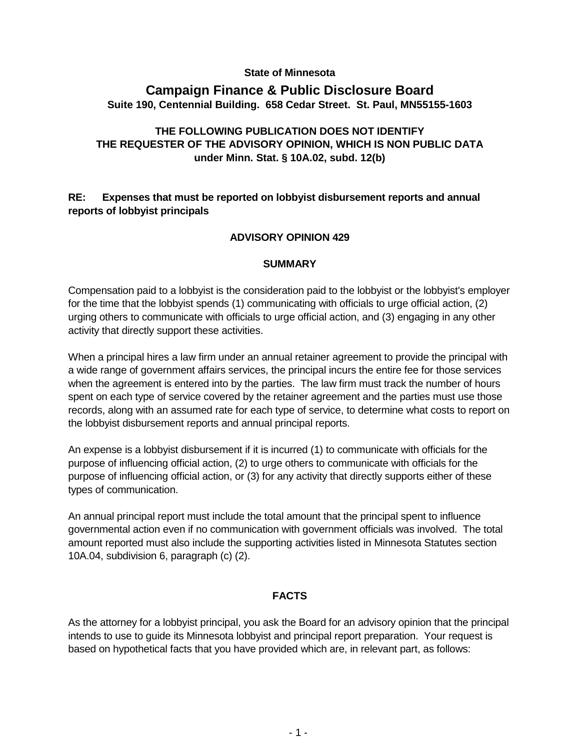### **State of Minnesota**

# **Campaign Finance & Public Disclosure Board Suite 190, Centennial Building. 658 Cedar Street. St. Paul, MN55155-1603**

# **THE FOLLOWING PUBLICATION DOES NOT IDENTIFY THE REQUESTER OF THE ADVISORY OPINION, WHICH IS NON PUBLIC DATA under Minn. Stat. § 10A.02, subd. 12(b)**

# **RE: Expenses that must be reported on lobbyist disbursement reports and annual reports of lobbyist principals**

#### **ADVISORY OPINION 429**

#### **SUMMARY**

Compensation paid to a lobbyist is the consideration paid to the lobbyist or the lobbyist's employer for the time that the lobbyist spends (1) communicating with officials to urge official action, (2) urging others to communicate with officials to urge official action, and (3) engaging in any other activity that directly support these activities.

When a principal hires a law firm under an annual retainer agreement to provide the principal with a wide range of government affairs services, the principal incurs the entire fee for those services when the agreement is entered into by the parties. The law firm must track the number of hours spent on each type of service covered by the retainer agreement and the parties must use those records, along with an assumed rate for each type of service, to determine what costs to report on the lobbyist disbursement reports and annual principal reports.

An expense is a lobbyist disbursement if it is incurred (1) to communicate with officials for the purpose of influencing official action, (2) to urge others to communicate with officials for the purpose of influencing official action, or (3) for any activity that directly supports either of these types of communication.

An annual principal report must include the total amount that the principal spent to influence governmental action even if no communication with government officials was involved. The total amount reported must also include the supporting activities listed in Minnesota Statutes section 10A.04, subdivision 6, paragraph (c) (2).

### **FACTS**

As the attorney for a lobbyist principal, you ask the Board for an advisory opinion that the principal intends to use to guide its Minnesota lobbyist and principal report preparation. Your request is based on hypothetical facts that you have provided which are, in relevant part, as follows: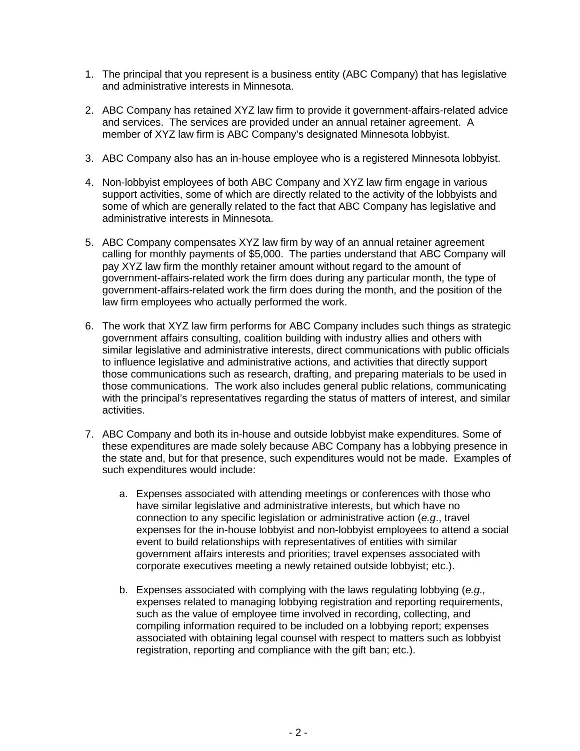- 1. The principal that you represent is a business entity (ABC Company) that has legislative and administrative interests in Minnesota.
- 2. ABC Company has retained XYZ law firm to provide it government-affairs-related advice and services. The services are provided under an annual retainer agreement. A member of XYZ law firm is ABC Company's designated Minnesota lobbyist.
- 3. ABC Company also has an in-house employee who is a registered Minnesota lobbyist.
- 4. Non-lobbyist employees of both ABC Company and XYZ law firm engage in various support activities, some of which are directly related to the activity of the lobbyists and some of which are generally related to the fact that ABC Company has legislative and administrative interests in Minnesota.
- 5. ABC Company compensates XYZ law firm by way of an annual retainer agreement calling for monthly payments of \$5,000. The parties understand that ABC Company will pay XYZ law firm the monthly retainer amount without regard to the amount of government-affairs-related work the firm does during any particular month, the type of government-affairs-related work the firm does during the month, and the position of the law firm employees who actually performed the work.
- 6. The work that XYZ law firm performs for ABC Company includes such things as strategic government affairs consulting, coalition building with industry allies and others with similar legislative and administrative interests, direct communications with public officials to influence legislative and administrative actions, and activities that directly support those communications such as research, drafting, and preparing materials to be used in those communications. The work also includes general public relations, communicating with the principal's representatives regarding the status of matters of interest, and similar activities.
- 7. ABC Company and both its in-house and outside lobbyist make expenditures. Some of these expenditures are made solely because ABC Company has a lobbying presence in the state and, but for that presence, such expenditures would not be made. Examples of such expenditures would include:
	- a. Expenses associated with attending meetings or conferences with those who have similar legislative and administrative interests, but which have no connection to any specific legislation or administrative action (*e.g*., travel expenses for the in-house lobbyist and non-lobbyist employees to attend a social event to build relationships with representatives of entities with similar government affairs interests and priorities; travel expenses associated with corporate executives meeting a newly retained outside lobbyist; etc.).
	- b. Expenses associated with complying with the laws regulating lobbying (*e.g.,* expenses related to managing lobbying registration and reporting requirements, such as the value of employee time involved in recording, collecting, and compiling information required to be included on a lobbying report; expenses associated with obtaining legal counsel with respect to matters such as lobbyist registration, reporting and compliance with the gift ban; etc.).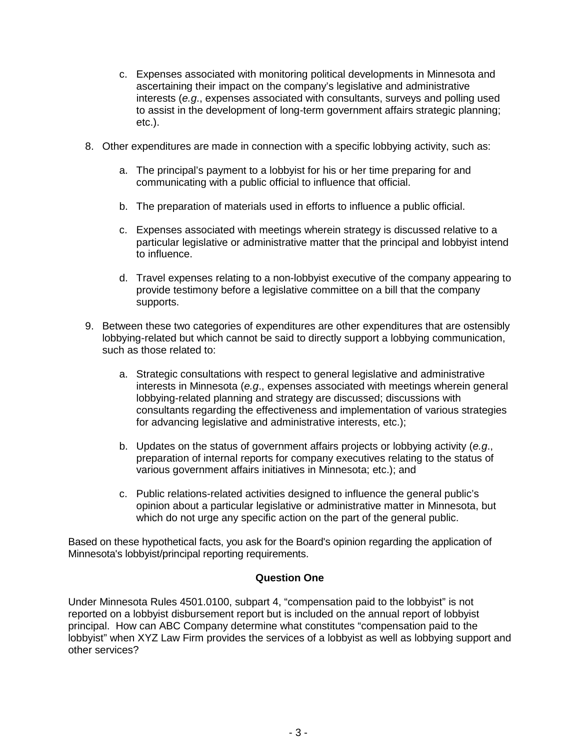- c. Expenses associated with monitoring political developments in Minnesota and ascertaining their impact on the company's legislative and administrative interests (*e.g*., expenses associated with consultants, surveys and polling used to assist in the development of long-term government affairs strategic planning; etc.).
- 8. Other expenditures are made in connection with a specific lobbying activity, such as:
	- a. The principal's payment to a lobbyist for his or her time preparing for and communicating with a public official to influence that official.
	- b. The preparation of materials used in efforts to influence a public official.
	- c. Expenses associated with meetings wherein strategy is discussed relative to a particular legislative or administrative matter that the principal and lobbyist intend to influence.
	- d. Travel expenses relating to a non-lobbyist executive of the company appearing to provide testimony before a legislative committee on a bill that the company supports.
- 9. Between these two categories of expenditures are other expenditures that are ostensibly lobbying-related but which cannot be said to directly support a lobbying communication, such as those related to:
	- a. Strategic consultations with respect to general legislative and administrative interests in Minnesota (*e.g*., expenses associated with meetings wherein general lobbying-related planning and strategy are discussed; discussions with consultants regarding the effectiveness and implementation of various strategies for advancing legislative and administrative interests, etc.);
	- b. Updates on the status of government affairs projects or lobbying activity (*e.g*., preparation of internal reports for company executives relating to the status of various government affairs initiatives in Minnesota; etc.); and
	- c. Public relations-related activities designed to influence the general public's opinion about a particular legislative or administrative matter in Minnesota, but which do not urge any specific action on the part of the general public.

Based on these hypothetical facts, you ask for the Board's opinion regarding the application of Minnesota's lobbyist/principal reporting requirements.

## **Question One**

Under Minnesota Rules 4501.0100, subpart 4, "compensation paid to the lobbyist" is not reported on a lobbyist disbursement report but is included on the annual report of lobbyist principal. How can ABC Company determine what constitutes "compensation paid to the lobbyist" when XYZ Law Firm provides the services of a lobbyist as well as lobbying support and other services?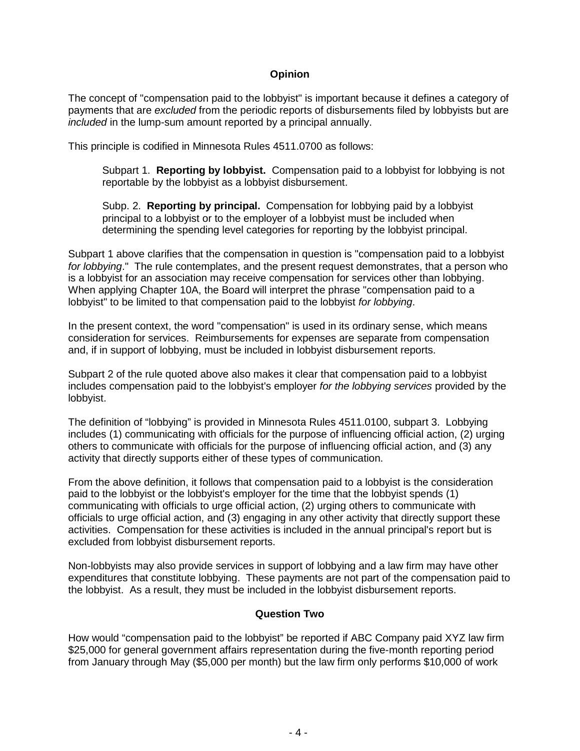### **Opinion**

The concept of "compensation paid to the lobbyist" is important because it defines a category of payments that are *excluded* from the periodic reports of disbursements filed by lobbyists but are *included* in the lump-sum amount reported by a principal annually.

This principle is codified in Minnesota Rules 4511.0700 as follows:

Subpart 1. **Reporting by lobbyist.** Compensation paid to a lobbyist for lobbying is not reportable by the lobbyist as a lobbyist disbursement.

Subp. 2. **Reporting by principal.** Compensation for lobbying paid by a lobbyist principal to a lobbyist or to the employer of a lobbyist must be included when determining the spending level categories for reporting by the lobbyist principal.

Subpart 1 above clarifies that the compensation in question is "compensation paid to a lobbyist *for lobbying*." The rule contemplates, and the present request demonstrates, that a person who is a lobbyist for an association may receive compensation for services other than lobbying. When applying Chapter 10A, the Board will interpret the phrase "compensation paid to a lobbyist" to be limited to that compensation paid to the lobbyist *for lobbying*.

In the present context, the word "compensation" is used in its ordinary sense, which means consideration for services. Reimbursements for expenses are separate from compensation and, if in support of lobbying, must be included in lobbyist disbursement reports.

Subpart 2 of the rule quoted above also makes it clear that compensation paid to a lobbyist includes compensation paid to the lobbyist's employer *for the lobbying services* provided by the lobbyist.

The definition of "lobbying" is provided in Minnesota Rules 4511.0100, subpart 3. Lobbying includes (1) communicating with officials for the purpose of influencing official action, (2) urging others to communicate with officials for the purpose of influencing official action, and (3) any activity that directly supports either of these types of communication.

From the above definition, it follows that compensation paid to a lobbyist is the consideration paid to the lobbyist or the lobbyist's employer for the time that the lobbyist spends (1) communicating with officials to urge official action, (2) urging others to communicate with officials to urge official action, and (3) engaging in any other activity that directly support these activities. Compensation for these activities is included in the annual principal's report but is excluded from lobbyist disbursement reports.

Non-lobbyists may also provide services in support of lobbying and a law firm may have other expenditures that constitute lobbying. These payments are not part of the compensation paid to the lobbyist. As a result, they must be included in the lobbyist disbursement reports.

#### **Question Two**

How would "compensation paid to the lobbyist" be reported if ABC Company paid XYZ law firm \$25,000 for general government affairs representation during the five-month reporting period from January through May (\$5,000 per month) but the law firm only performs \$10,000 of work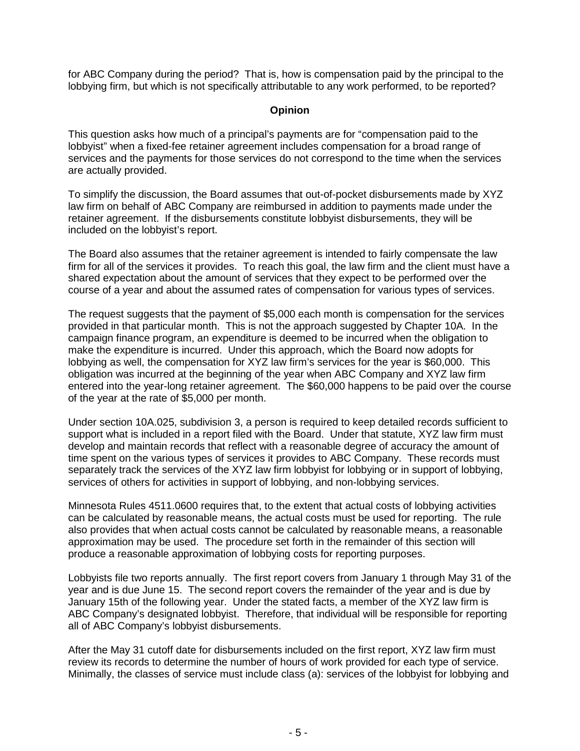for ABC Company during the period? That is, how is compensation paid by the principal to the lobbying firm, but which is not specifically attributable to any work performed, to be reported?

#### **Opinion**

This question asks how much of a principal's payments are for "compensation paid to the lobbyist" when a fixed-fee retainer agreement includes compensation for a broad range of services and the payments for those services do not correspond to the time when the services are actually provided.

To simplify the discussion, the Board assumes that out-of-pocket disbursements made by XYZ law firm on behalf of ABC Company are reimbursed in addition to payments made under the retainer agreement. If the disbursements constitute lobbyist disbursements, they will be included on the lobbyist's report.

The Board also assumes that the retainer agreement is intended to fairly compensate the law firm for all of the services it provides. To reach this goal, the law firm and the client must have a shared expectation about the amount of services that they expect to be performed over the course of a year and about the assumed rates of compensation for various types of services.

The request suggests that the payment of \$5,000 each month is compensation for the services provided in that particular month. This is not the approach suggested by Chapter 10A. In the campaign finance program, an expenditure is deemed to be incurred when the obligation to make the expenditure is incurred. Under this approach, which the Board now adopts for lobbying as well, the compensation for XYZ law firm's services for the year is \$60,000. This obligation was incurred at the beginning of the year when ABC Company and XYZ law firm entered into the year-long retainer agreement. The \$60,000 happens to be paid over the course of the year at the rate of \$5,000 per month.

Under section 10A.025, subdivision 3, a person is required to keep detailed records sufficient to support what is included in a report filed with the Board. Under that statute, XYZ law firm must develop and maintain records that reflect with a reasonable degree of accuracy the amount of time spent on the various types of services it provides to ABC Company. These records must separately track the services of the XYZ law firm lobbyist for lobbying or in support of lobbying, services of others for activities in support of lobbying, and non-lobbying services.

Minnesota Rules 4511.0600 requires that, to the extent that actual costs of lobbying activities can be calculated by reasonable means, the actual costs must be used for reporting. The rule also provides that when actual costs cannot be calculated by reasonable means, a reasonable approximation may be used. The procedure set forth in the remainder of this section will produce a reasonable approximation of lobbying costs for reporting purposes.

Lobbyists file two reports annually. The first report covers from January 1 through May 31 of the year and is due June 15. The second report covers the remainder of the year and is due by January 15th of the following year. Under the stated facts, a member of the XYZ law firm is ABC Company's designated lobbyist. Therefore, that individual will be responsible for reporting all of ABC Company's lobbyist disbursements.

After the May 31 cutoff date for disbursements included on the first report, XYZ law firm must review its records to determine the number of hours of work provided for each type of service. Minimally, the classes of service must include class (a): services of the lobbyist for lobbying and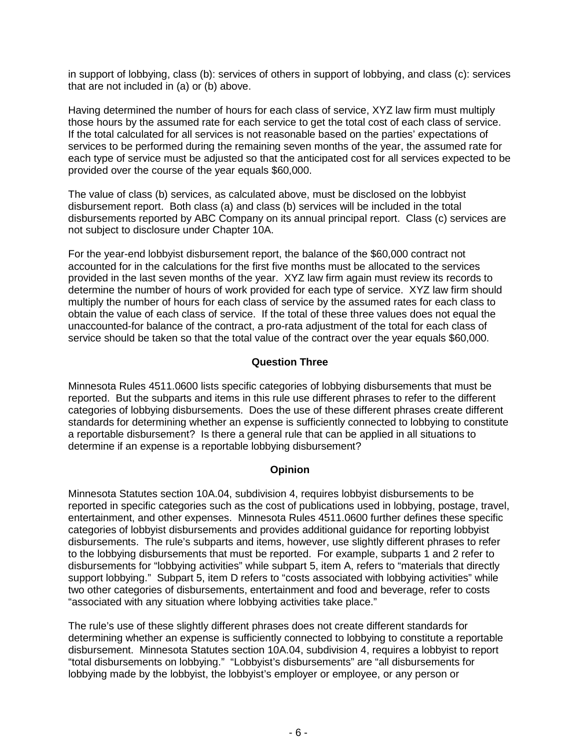in support of lobbying, class (b): services of others in support of lobbying, and class (c): services that are not included in (a) or (b) above.

Having determined the number of hours for each class of service, XYZ law firm must multiply those hours by the assumed rate for each service to get the total cost of each class of service. If the total calculated for all services is not reasonable based on the parties' expectations of services to be performed during the remaining seven months of the year, the assumed rate for each type of service must be adjusted so that the anticipated cost for all services expected to be provided over the course of the year equals \$60,000.

The value of class (b) services, as calculated above, must be disclosed on the lobbyist disbursement report. Both class (a) and class (b) services will be included in the total disbursements reported by ABC Company on its annual principal report. Class (c) services are not subject to disclosure under Chapter 10A.

For the year-end lobbyist disbursement report, the balance of the \$60,000 contract not accounted for in the calculations for the first five months must be allocated to the services provided in the last seven months of the year. XYZ law firm again must review its records to determine the number of hours of work provided for each type of service. XYZ law firm should multiply the number of hours for each class of service by the assumed rates for each class to obtain the value of each class of service. If the total of these three values does not equal the unaccounted-for balance of the contract, a pro-rata adjustment of the total for each class of service should be taken so that the total value of the contract over the year equals \$60,000.

## **Question Three**

Minnesota Rules 4511.0600 lists specific categories of lobbying disbursements that must be reported. But the subparts and items in this rule use different phrases to refer to the different categories of lobbying disbursements. Does the use of these different phrases create different standards for determining whether an expense is sufficiently connected to lobbying to constitute a reportable disbursement? Is there a general rule that can be applied in all situations to determine if an expense is a reportable lobbying disbursement?

## **Opinion**

Minnesota Statutes section 10A.04, subdivision 4, requires lobbyist disbursements to be reported in specific categories such as the cost of publications used in lobbying, postage, travel, entertainment, and other expenses. Minnesota Rules 4511.0600 further defines these specific categories of lobbyist disbursements and provides additional guidance for reporting lobbyist disbursements. The rule's subparts and items, however, use slightly different phrases to refer to the lobbying disbursements that must be reported. For example, subparts 1 and 2 refer to disbursements for "lobbying activities" while subpart 5, item A, refers to "materials that directly support lobbying." Subpart 5, item D refers to "costs associated with lobbying activities" while two other categories of disbursements, entertainment and food and beverage, refer to costs "associated with any situation where lobbying activities take place."

The rule's use of these slightly different phrases does not create different standards for determining whether an expense is sufficiently connected to lobbying to constitute a reportable disbursement. Minnesota Statutes section 10A.04, subdivision 4, requires a lobbyist to report "total disbursements on lobbying." "Lobbyist's disbursements" are "all disbursements for lobbying made by the lobbyist, the lobbyist's employer or employee, or any person or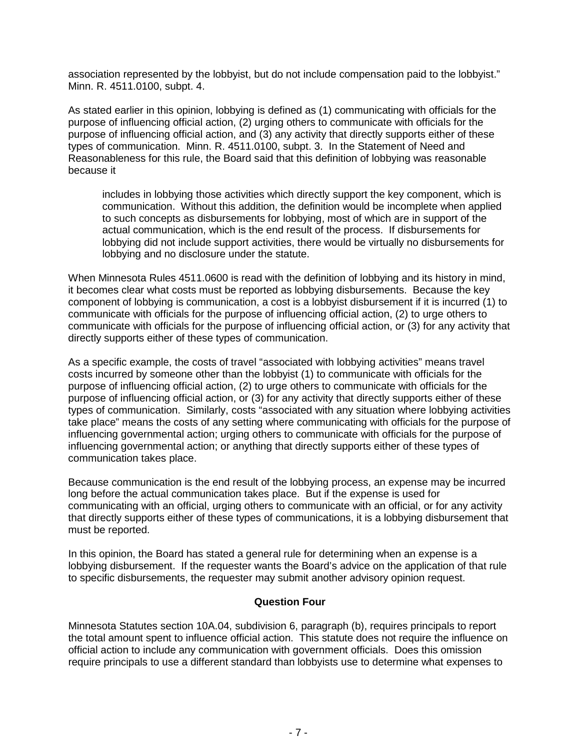association represented by the lobbyist, but do not include compensation paid to the lobbyist." Minn. R. 4511.0100, subpt. 4.

As stated earlier in this opinion, lobbying is defined as (1) communicating with officials for the purpose of influencing official action, (2) urging others to communicate with officials for the purpose of influencing official action, and (3) any activity that directly supports either of these types of communication. Minn. R. 4511.0100, subpt. 3. In the Statement of Need and Reasonableness for this rule, the Board said that this definition of lobbying was reasonable because it

includes in lobbying those activities which directly support the key component, which is communication. Without this addition, the definition would be incomplete when applied to such concepts as disbursements for lobbying, most of which are in support of the actual communication, which is the end result of the process. If disbursements for lobbying did not include support activities, there would be virtually no disbursements for lobbying and no disclosure under the statute.

When Minnesota Rules 4511.0600 is read with the definition of lobbying and its history in mind, it becomes clear what costs must be reported as lobbying disbursements. Because the key component of lobbying is communication, a cost is a lobbyist disbursement if it is incurred (1) to communicate with officials for the purpose of influencing official action, (2) to urge others to communicate with officials for the purpose of influencing official action, or (3) for any activity that directly supports either of these types of communication.

As a specific example, the costs of travel "associated with lobbying activities" means travel costs incurred by someone other than the lobbyist (1) to communicate with officials for the purpose of influencing official action, (2) to urge others to communicate with officials for the purpose of influencing official action, or (3) for any activity that directly supports either of these types of communication. Similarly, costs "associated with any situation where lobbying activities take place" means the costs of any setting where communicating with officials for the purpose of influencing governmental action; urging others to communicate with officials for the purpose of influencing governmental action; or anything that directly supports either of these types of communication takes place.

Because communication is the end result of the lobbying process, an expense may be incurred long before the actual communication takes place. But if the expense is used for communicating with an official, urging others to communicate with an official, or for any activity that directly supports either of these types of communications, it is a lobbying disbursement that must be reported.

In this opinion, the Board has stated a general rule for determining when an expense is a lobbying disbursement. If the requester wants the Board's advice on the application of that rule to specific disbursements, the requester may submit another advisory opinion request.

## **Question Four**

Minnesota Statutes section 10A.04, subdivision 6, paragraph (b), requires principals to report the total amount spent to influence official action. This statute does not require the influence on official action to include any communication with government officials. Does this omission require principals to use a different standard than lobbyists use to determine what expenses to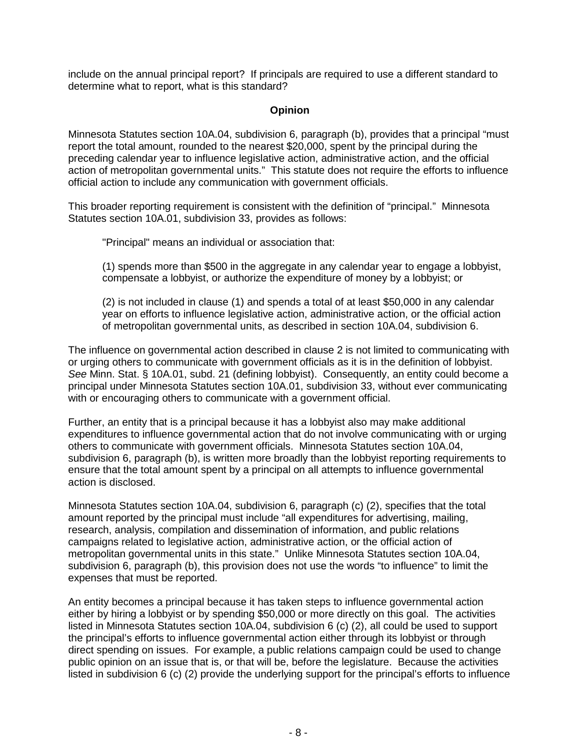include on the annual principal report? If principals are required to use a different standard to determine what to report, what is this standard?

### **Opinion**

Minnesota Statutes section 10A.04, subdivision 6, paragraph (b), provides that a principal "must report the total amount, rounded to the nearest \$20,000, spent by the principal during the preceding calendar year to influence legislative action, administrative action, and the official action of metropolitan governmental units." This statute does not require the efforts to influence official action to include any communication with government officials.

This broader reporting requirement is consistent with the definition of "principal." Minnesota Statutes section 10A.01, subdivision 33, provides as follows:

"Principal" means an individual or association that:

(1) spends more than \$500 in the aggregate in any calendar year to engage a lobbyist, compensate a lobbyist, or authorize the expenditure of money by a lobbyist; or

(2) is not included in clause (1) and spends a total of at least \$50,000 in any calendar year on efforts to influence legislative action, administrative action, or the official action of metropolitan governmental units, as described in section [10A.04, subdivision 6.](https://www.revisor.mn.gov/statutes?id=10A.04#stat.10A.04.6)

The influence on governmental action described in clause 2 is not limited to communicating with or urging others to communicate with government officials as it is in the definition of lobbyist. *See* Minn. Stat. § 10A.01, subd. 21 (defining lobbyist). Consequently, an entity could become a principal under Minnesota Statutes section 10A.01, subdivision 33, without ever communicating with or encouraging others to communicate with a government official.

Further, an entity that is a principal because it has a lobbyist also may make additional expenditures to influence governmental action that do not involve communicating with or urging others to communicate with government officials. Minnesota Statutes section 10A.04, subdivision 6, paragraph (b), is written more broadly than the lobbyist reporting requirements to ensure that the total amount spent by a principal on all attempts to influence governmental action is disclosed.

Minnesota Statutes section 10A.04, subdivision 6, paragraph (c) (2), specifies that the total amount reported by the principal must include "all expenditures for advertising, mailing, research, analysis, compilation and dissemination of information, and public relations campaigns related to legislative action, administrative action, or the official action of metropolitan governmental units in this state." Unlike Minnesota Statutes section 10A.04, subdivision 6, paragraph (b), this provision does not use the words "to influence" to limit the expenses that must be reported.

An entity becomes a principal because it has taken steps to influence governmental action either by hiring a lobbyist or by spending \$50,000 or more directly on this goal. The activities listed in Minnesota Statutes section 10A.04, subdivision 6 (c) (2), all could be used to support the principal's efforts to influence governmental action either through its lobbyist or through direct spending on issues. For example, a public relations campaign could be used to change public opinion on an issue that is, or that will be, before the legislature. Because the activities listed in subdivision 6 (c) (2) provide the underlying support for the principal's efforts to influence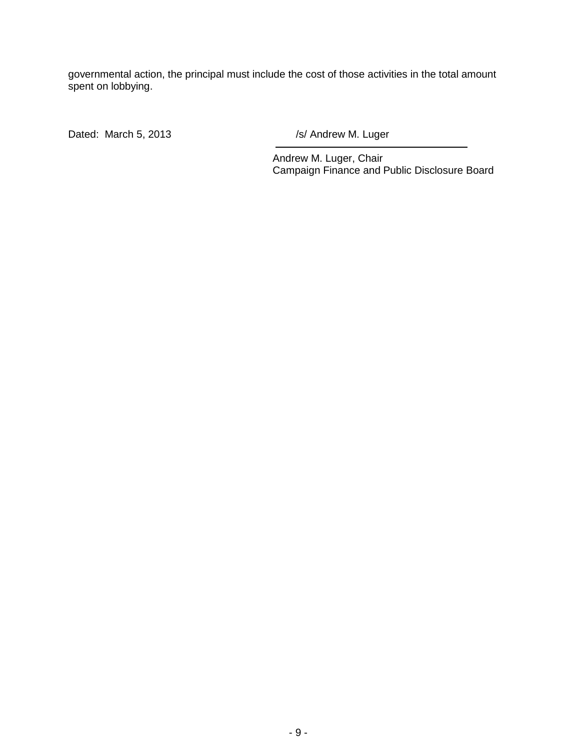governmental action, the principal must include the cost of those activities in the total amount spent on lobbying.

Dated: March 5, 2013 /s/ Andrew M. Luger

Andrew M. Luger, Chair Campaign Finance and Public Disclosure Board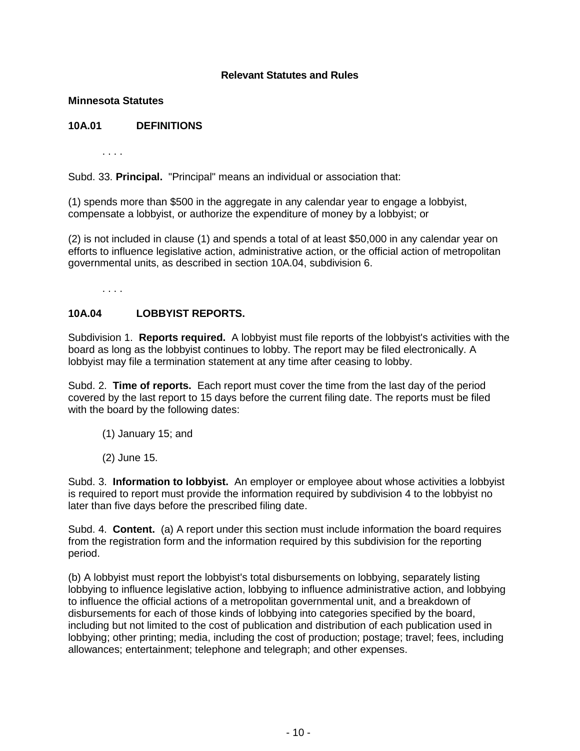## **Relevant Statutes and Rules**

#### **Minnesota Statutes**

#### **10A.01 DEFINITIONS**

. . . .

Subd. 33. **Principal.** "Principal" means an individual or association that:

(1) spends more than \$500 in the aggregate in any calendar year to engage a lobbyist, compensate a lobbyist, or authorize the expenditure of money by a lobbyist; or

(2) is not included in clause (1) and spends a total of at least \$50,000 in any calendar year on efforts to influence legislative action, administrative action, or the official action of metropolitan governmental units, as described in section [10A.04, subdivision 6.](https://www.revisor.mn.gov/statutes?id=10A.04#stat.10A.04.6)

. . . .

## **10A.04 LOBBYIST REPORTS.**

Subdivision 1. **Reports required.** A lobbyist must file reports of the lobbyist's activities with the board as long as the lobbyist continues to lobby. The report may be filed electronically. A lobbyist may file a termination statement at any time after ceasing to lobby.

Subd. 2. **Time of reports.** Each report must cover the time from the last day of the period covered by the last report to 15 days before the current filing date. The reports must be filed with the board by the following dates:

- (1) January 15; and
- (2) June 15.

Subd. 3. **Information to lobbyist.** An employer or employee about whose activities a lobbyist is required to report must provide the information required by subdivision 4 to the lobbyist no later than five days before the prescribed filing date.

Subd. 4. **Content.** (a) A report under this section must include information the board requires from the registration form and the information required by this subdivision for the reporting period.

(b) A lobbyist must report the lobbyist's total disbursements on lobbying, separately listing lobbying to influence legislative action, lobbying to influence administrative action, and lobbying to influence the official actions of a metropolitan governmental unit, and a breakdown of disbursements for each of those kinds of lobbying into categories specified by the board, including but not limited to the cost of publication and distribution of each publication used in lobbying; other printing; media, including the cost of production; postage; travel; fees, including allowances; entertainment; telephone and telegraph; and other expenses.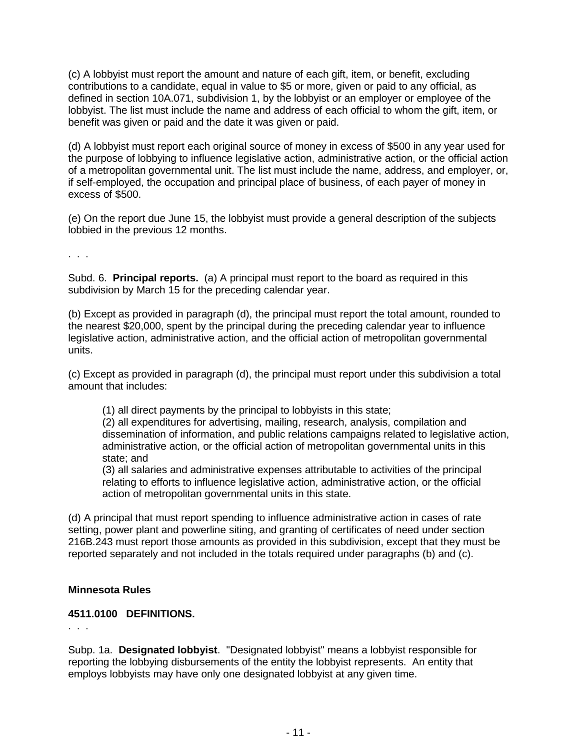(c) A lobbyist must report the amount and nature of each gift, item, or benefit, excluding contributions to a candidate, equal in value to \$5 or more, given or paid to any official, as defined in section 10A.071, subdivision 1, by the lobbyist or an employer or employee of the lobbyist. The list must include the name and address of each official to whom the gift, item, or benefit was given or paid and the date it was given or paid.

(d) A lobbyist must report each original source of money in excess of \$500 in any year used for the purpose of lobbying to influence legislative action, administrative action, or the official action of a metropolitan governmental unit. The list must include the name, address, and employer, or, if self-employed, the occupation and principal place of business, of each payer of money in excess of \$500.

(e) On the report due June 15, the lobbyist must provide a general description of the subjects lobbied in the previous 12 months.

. . .

Subd. 6. **Principal reports.** (a) A principal must report to the board as required in this subdivision by March 15 for the preceding calendar year.

(b) Except as provided in paragraph (d), the principal must report the total amount, rounded to the nearest \$20,000, spent by the principal during the preceding calendar year to influence legislative action, administrative action, and the official action of metropolitan governmental units.

(c) Except as provided in paragraph (d), the principal must report under this subdivision a total amount that includes:

(1) all direct payments by the principal to lobbyists in this state;

(2) all expenditures for advertising, mailing, research, analysis, compilation and dissemination of information, and public relations campaigns related to legislative action, administrative action, or the official action of metropolitan governmental units in this state; and

(3) all salaries and administrative expenses attributable to activities of the principal relating to efforts to influence legislative action, administrative action, or the official action of metropolitan governmental units in this state.

(d) A principal that must report spending to influence administrative action in cases of rate setting, power plant and powerline siting, and granting of certificates of need under section [216B.243](https://www.revisor.mn.gov/statutes?id=216B.243#stat.216B.243) must report those amounts as provided in this subdivision, except that they must be reported separately and not included in the totals required under paragraphs (b) and (c).

#### **Minnesota Rules**

#### **4511.0100 DEFINITIONS.**

. . .

Subp. 1a. **Designated lobbyist**. "Designated lobbyist" means a lobbyist responsible for reporting the lobbying disbursements of the entity the lobbyist represents. An entity that employs lobbyists may have only one designated lobbyist at any given time.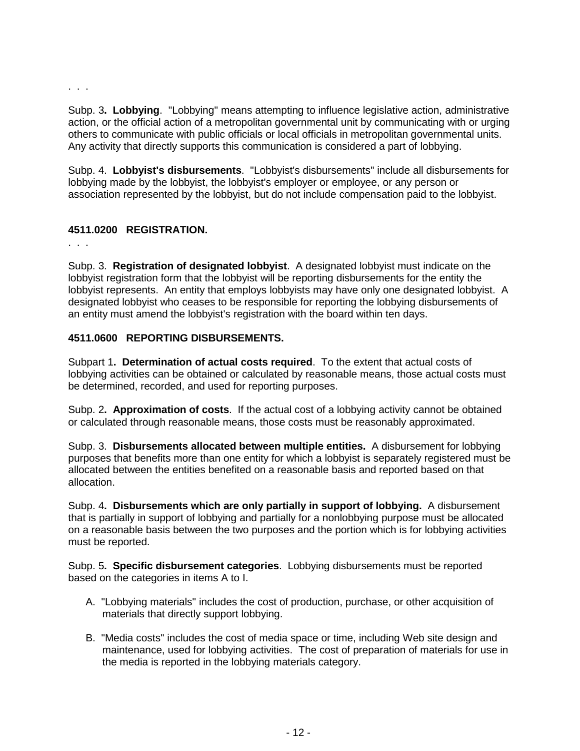. . .

Subp. 3**. Lobbying**. "Lobbying" means attempting to influence legislative action, administrative action, or the official action of a metropolitan governmental unit by communicating with or urging others to communicate with public officials or local officials in metropolitan governmental units. Any activity that directly supports this communication is considered a part of lobbying.

Subp. 4. **Lobbyist's disbursements**. "Lobbyist's disbursements" include all disbursements for lobbying made by the lobbyist, the lobbyist's employer or employee, or any person or association represented by the lobbyist, but do not include compensation paid to the lobbyist.

## **4511.0200 REGISTRATION.**

. . .

Subp. 3. **Registration of designated lobbyist**. A designated lobbyist must indicate on the lobbyist registration form that the lobbyist will be reporting disbursements for the entity the lobbyist represents. An entity that employs lobbyists may have only one designated lobbyist. A designated lobbyist who ceases to be responsible for reporting the lobbying disbursements of an entity must amend the lobbyist's registration with the board within ten days.

#### **4511.0600 REPORTING DISBURSEMENTS.**

Subpart 1**. Determination of actual costs required**. To the extent that actual costs of lobbying activities can be obtained or calculated by reasonable means, those actual costs must be determined, recorded, and used for reporting purposes.

Subp. 2**. Approximation of costs**. If the actual cost of a lobbying activity cannot be obtained or calculated through reasonable means, those costs must be reasonably approximated.

Subp. 3. **Disbursements allocated between multiple entities.** A disbursement for lobbying purposes that benefits more than one entity for which a lobbyist is separately registered must be allocated between the entities benefited on a reasonable basis and reported based on that allocation.

Subp. 4**. Disbursements which are only partially in support of lobbying.** A disbursement that is partially in support of lobbying and partially for a nonlobbying purpose must be allocated on a reasonable basis between the two purposes and the portion which is for lobbying activities must be reported.

Subp. 5**. Specific disbursement categories**. Lobbying disbursements must be reported based on the categories in items A to I.

- A. "Lobbying materials" includes the cost of production, purchase, or other acquisition of materials that directly support lobbying.
- B. "Media costs" includes the cost of media space or time, including Web site design and maintenance, used for lobbying activities. The cost of preparation of materials for use in the media is reported in the lobbying materials category.